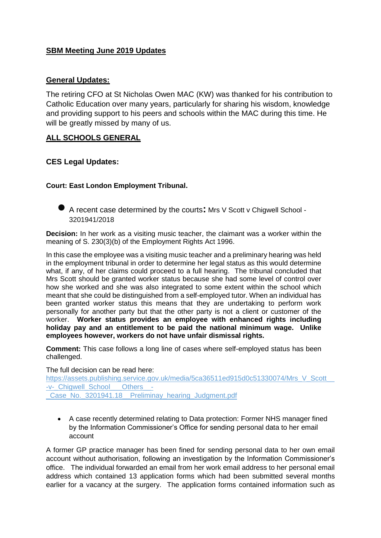# **SBM Meeting June 2019 Updates**

## **General Updates:**

The retiring CFO at St Nicholas Owen MAC (KW) was thanked for his contribution to Catholic Education over many years, particularly for sharing his wisdom, knowledge and providing support to his peers and schools within the MAC during this time. He will be greatly missed by many of us.

## **ALL SCHOOLS GENERAL**

### **CES Legal Updates:**

#### **Court: East London Employment Tribunal.**



• A recent case determined by the courts**:** Mrs V Scott v Chigwell School - 3201941/2018

**Decision:** In her work as a visiting music teacher, the claimant was a worker within the meaning of S. 230(3)(b) of the Employment Rights Act 1996.

In this case the employee was a visiting music teacher and a preliminary hearing was held in the employment tribunal in order to determine her legal status as this would determine what, if any, of her claims could proceed to a full hearing. The tribunal concluded that Mrs Scott should be granted worker status because she had some level of control over how she worked and she was also integrated to some extent within the school which meant that she could be distinguished from a self-employed tutor. When an individual has been granted worker status this means that they are undertaking to perform work personally for another party but that the other party is not a client or customer of the worker. **Worker status provides an employee with enhanced rights including holiday pay and an entitlement to be paid the national minimum wage. Unlike employees however, workers do not have unfair dismissal rights.**

**Comment:** This case follows a long line of cases where self-employed status has been challenged.

The full decision can be read here:

https://assets.publishing.service.gov.uk/media/5ca36511ed915d0c51330074/Mrs\_V\_Scott\_ -v- Chigwell School Others -Case No. 3201941.18 Preliminay hearing Judgment.pdf

• A case recently determined relating to Data protection: Former NHS manager fined by the Information Commissioner's Office for sending personal data to her email account

A former GP practice manager has been fined for sending personal data to her own email account without authorisation, following an investigation by the Information Commissioner's office. The individual forwarded an email from her work email address to her personal email address which contained 13 application forms which had been submitted several months earlier for a vacancy at the surgery. The application forms contained information such as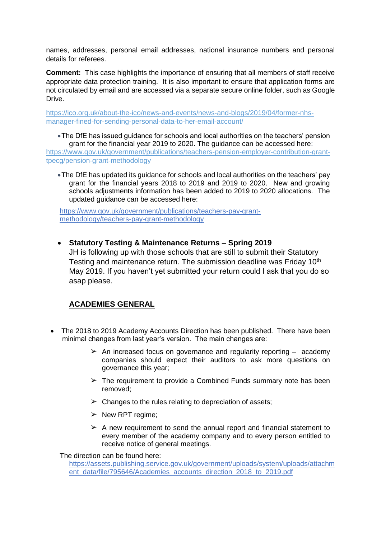names, addresses, personal email addresses, national insurance numbers and personal details for referees.

**Comment:** This case highlights the importance of ensuring that all members of staff receive appropriate data protection training. It is also important to ensure that application forms are not circulated by email and are accessed via a separate secure online folder, such as Google **Drive** 

[https://ico.org.uk/about-the-ico/news-and-events/news-and-blogs/2019/04/former-nhs](https://ico.org.uk/about-the-ico/news-and-events/news-and-blogs/2019/04/former-nhs-manager-fined-for-sending-personal-data-to-her-email-account/)[manager-fined-for-sending-personal-data-to-her-email-account/](https://ico.org.uk/about-the-ico/news-and-events/news-and-blogs/2019/04/former-nhs-manager-fined-for-sending-personal-data-to-her-email-account/)

•The DfE has issued guidance for schools and local authorities on the teachers' pension grant for the financial year 2019 to 2020. The guidance can be accessed here: [https://www.gov.uk/government/publications/teachers-pension-employer-contribution-grant](https://www.gov.uk/government/publications/teachers-pension-employer-contribution-grant-tpecg/pension-grant-methodology)[tpecg/pension-grant-methodology](https://www.gov.uk/government/publications/teachers-pension-employer-contribution-grant-tpecg/pension-grant-methodology)

•The DfE has updated its guidance for schools and local authorities on the teachers' pay grant for the financial years 2018 to 2019 and 2019 to 2020. New and growing schools adjustments information has been added to 2019 to 2020 allocations. The updated guidance can be accessed here:

[https://www.gov.uk/government/publications/teachers-pay-grant](https://www.gov.uk/government/publications/teachers-pay-grant-methodology/teachers-pay-grant-methodology)[methodology/teachers-pay-grant-methodology](https://www.gov.uk/government/publications/teachers-pay-grant-methodology/teachers-pay-grant-methodology)

• **Statutory Testing & Maintenance Returns – Spring 2019** JH is following up with those schools that are still to submit their Statutory Testing and maintenance return. The submission deadline was Friday 10<sup>th</sup> May 2019. If you haven't yet submitted your return could I ask that you do so asap please.

# **ACADEMIES GENERAL**

- The 2018 to 2019 Academy Accounts Direction has been published. There have been minimal changes from last year's version. The main changes are:
	- $\triangleright$  An increased focus on governance and regularity reporting academy companies should expect their auditors to ask more questions on governance this year;
	- $\triangleright$  The requirement to provide a Combined Funds summary note has been removed;
	- $\triangleright$  Changes to the rules relating to depreciation of assets;
	- $\triangleright$  New RPT regime;
	- $\triangleright$  A new requirement to send the annual report and financial statement to every member of the academy company and to every person entitled to receive notice of general meetings.

The direction can be found here:

[https://assets.publishing.service.gov.uk/government/uploads/system/uploads/attachm](https://assets.publishing.service.gov.uk/government/uploads/system/uploads/attachment_data/file/795646/Academies_accounts_direction_2018_to_2019.pdf) [ent\\_data/file/795646/Academies\\_accounts\\_direction\\_2018\\_to\\_2019.pdf](https://assets.publishing.service.gov.uk/government/uploads/system/uploads/attachment_data/file/795646/Academies_accounts_direction_2018_to_2019.pdf)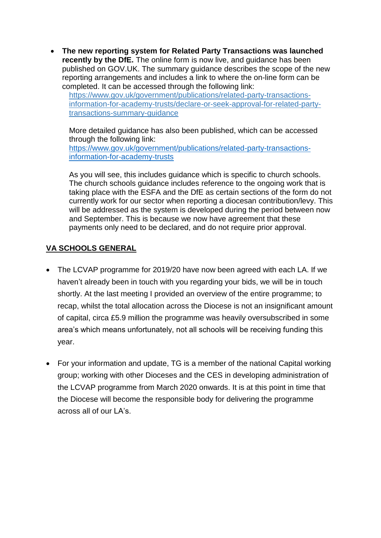• **The new reporting system for Related Party Transactions was launched recently by the DfE.** The online form is now live, and guidance has been published on GOV.UK. The summary guidance describes the scope of the new reporting arrangements and includes a link to where the on-line form can be completed. It can be accessed through the following link: [https://www.gov.uk/government/publications/related-party-transactions](https://www.gov.uk/government/publications/related-party-transactions-information-for-academy-trusts/declare-or-seek-approval-for-related-party-transactions-summary-guidance)[information-for-academy-trusts/declare-or-seek-approval-for-related-party](https://www.gov.uk/government/publications/related-party-transactions-information-for-academy-trusts/declare-or-seek-approval-for-related-party-transactions-summary-guidance)[transactions-summary-guidance](https://www.gov.uk/government/publications/related-party-transactions-information-for-academy-trusts/declare-or-seek-approval-for-related-party-transactions-summary-guidance)

More detailed guidance has also been published, which can be accessed through the following link: [https://www.gov.uk/government/publications/related-party-transactions](https://www.gov.uk/government/publications/related-party-transactions-information-for-academy-trusts)[information-for-academy-trusts](https://www.gov.uk/government/publications/related-party-transactions-information-for-academy-trusts)

As you will see, this includes guidance which is specific to church schools. The church schools guidance includes reference to the ongoing work that is taking place with the ESFA and the DfE as certain sections of the form do not currently work for our sector when reporting a diocesan contribution/levy. This will be addressed as the system is developed during the period between now and September. This is because we now have agreement that these payments only need to be declared, and do not require prior approval.

# **VA SCHOOLS GENERAL**

- The LCVAP programme for 2019/20 have now been agreed with each LA. If we haven't already been in touch with you regarding your bids, we will be in touch shortly. At the last meeting I provided an overview of the entire programme; to recap, whilst the total allocation across the Diocese is not an insignificant amount of capital, circa £5.9 million the programme was heavily oversubscribed in some area's which means unfortunately, not all schools will be receiving funding this year.
- For your information and update, TG is a member of the national Capital working group; working with other Dioceses and the CES in developing administration of the LCVAP programme from March 2020 onwards. It is at this point in time that the Diocese will become the responsible body for delivering the programme across all of our LA's.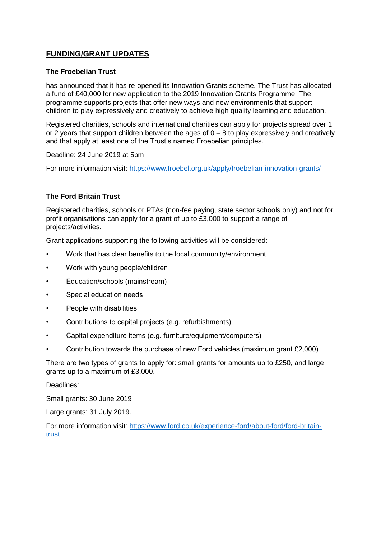# **FUNDING/GRANT UPDATES**

#### **The Froebelian Trust**

has announced that it has re-opened its Innovation Grants scheme. The Trust has allocated a fund of £40,000 for new application to the 2019 Innovation Grants Programme. The programme supports projects that offer new ways and new environments that support children to play expressively and creatively to achieve high quality learning and education.

Registered charities, schools and international charities can apply for projects spread over 1 or 2 years that support children between the ages of  $0 - 8$  to play expressively and creatively and that apply at least one of the Trust's named Froebelian principles.

Deadline: 24 June 2019 at 5pm

For more information visit:<https://www.froebel.org.uk/apply/froebelian-innovation-grants/>

### **The Ford Britain Trust**

Registered charities, schools or PTAs (non-fee paying, state sector schools only) and not for profit organisations can apply for a grant of up to £3,000 to support a range of projects/activities.

Grant applications supporting the following activities will be considered:

- Work that has clear benefits to the local community/environment
- Work with young people/children
- Education/schools (mainstream)
- Special education needs
- People with disabilities
- Contributions to capital projects (e.g. refurbishments)
- Capital expenditure items (e.g. furniture/equipment/computers)
- Contribution towards the purchase of new Ford vehicles (maximum grant £2,000)

There are two types of grants to apply for: small grants for amounts up to £250, and large grants up to a maximum of £3,000.

Deadlines:

Small grants: 30 June 2019

Large grants: 31 July 2019.

For more information visit: [https://www.ford.co.uk/experience-ford/about-ford/ford-britain](https://www.ford.co.uk/experience-ford/about-ford/ford-britain-trust)[trust](https://www.ford.co.uk/experience-ford/about-ford/ford-britain-trust)